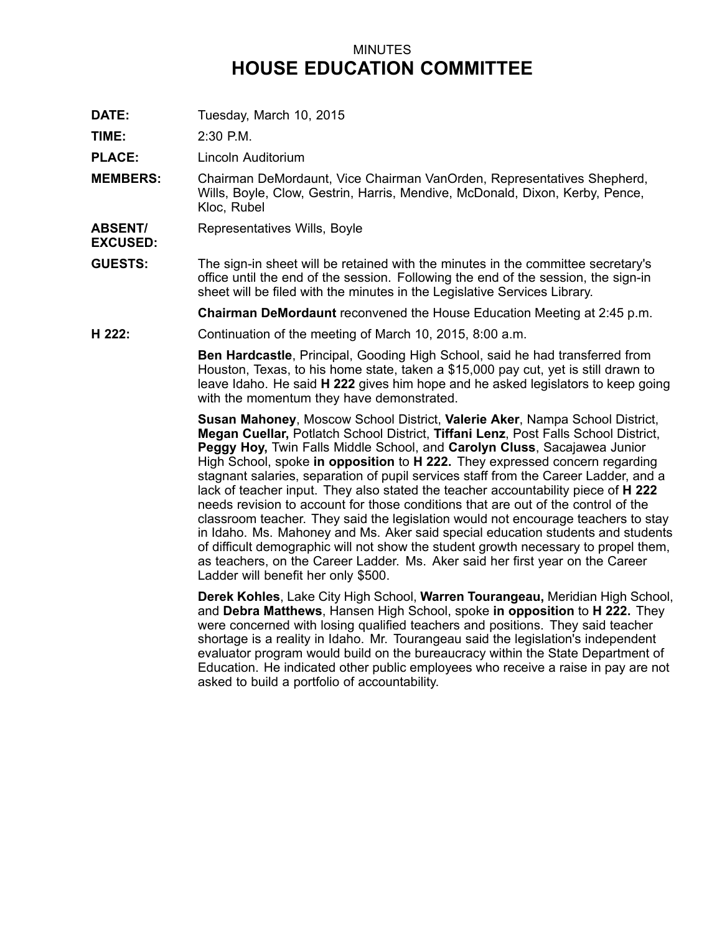## MINUTES **HOUSE EDUCATION COMMITTEE**

**DATE:** Tuesday, March 10, 2015

**TIME:** 2:30 P.M.

**PLACE:** Lincoln Auditorium

- **MEMBERS:** Chairman DeMordaunt, Vice Chairman VanOrden, Representatives Shepherd, Wills, Boyle, Clow, Gestrin, Harris, Mendive, McDonald, Dixon, Kerby, Pence, Kloc, Rubel
- **ABSENT/** Representatives Wills, Boyle

**EXCUSED:**

**GUESTS:** The sign-in sheet will be retained with the minutes in the committee secretary's office until the end of the session. Following the end of the session, the sign-in sheet will be filed with the minutes in the Legislative Services Library.

**Chairman DeMordaunt** reconvened the House Education Meeting at 2:45 p.m.

**H 222:** Continuation of the meeting of March 10, 2015, 8:00 a.m.

**Ben Hardcastle**, Principal, Gooding High School, said he had transferred from Houston, Texas, to his home state, taken <sup>a</sup> \$15,000 pay cut, yet is still drawn to leave Idaho. He said **H 222** gives him hope and he asked legislators to keep going with the momentum they have demonstrated.

**Susan Mahoney**, Moscow School District, **Valerie Aker**, Nampa School District, **Megan Cuellar,** Potlatch School District, **Tiffani Lenz**, Post Falls School District, **Peggy Hoy,** Twin Falls Middle School, and **Carolyn Cluss**, Sacajawea Junior High School, spoke **in opposition** to **H 222.** They expressed concern regarding stagnant salaries, separation of pupil services staff from the Career Ladder, and <sup>a</sup> lack of teacher input. They also stated the teacher accountability piece of **H 222** needs revision to account for those conditions that are out of the control of the classroom teacher. They said the legislation would not encourage teachers to stay in Idaho. Ms. Mahoney and Ms. Aker said special education students and students of difficult demographic will not show the student growth necessary to propel them, as teachers, on the Career Ladder. Ms. Aker said her first year on the Career Ladder will benefit her only \$500.

**Derek Kohles**, Lake City High School, **Warren Tourangeau,** Meridian High School, and **Debra Matthews**, Hansen High School, spoke **in opposition** to **H 222.** They were concerned with losing qualified teachers and positions. They said teacher shortage is <sup>a</sup> reality in Idaho. Mr. Tourangeau said the legislation's independent evaluator program would build on the bureaucracy within the State Department of Education. He indicated other public employees who receive <sup>a</sup> raise in pay are not asked to build <sup>a</sup> portfolio of accountability.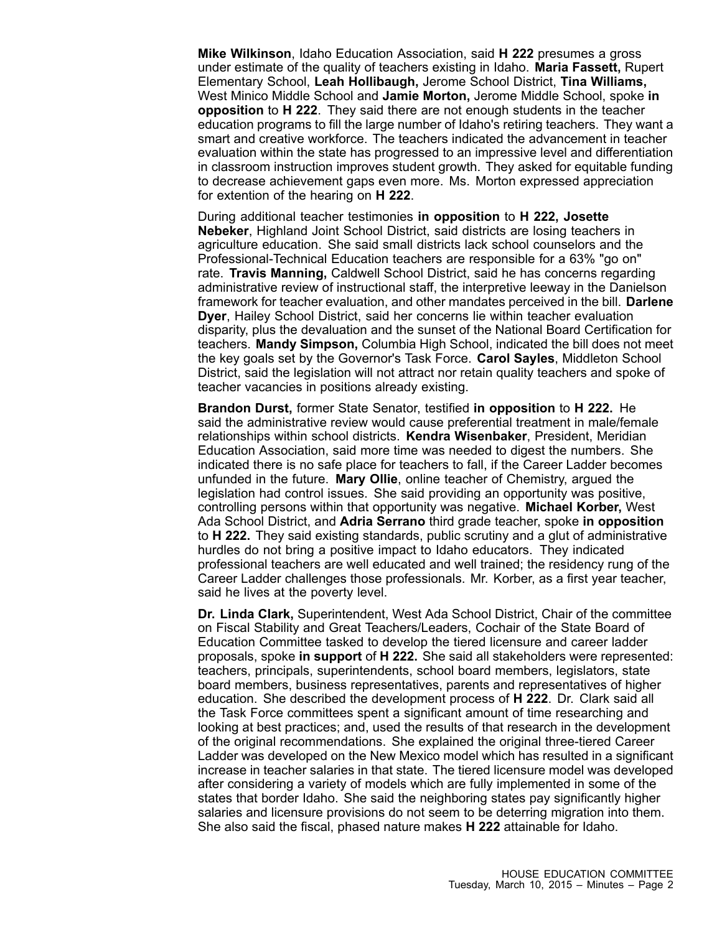**Mike Wilkinson**, Idaho Education Association, said **H 222** presumes <sup>a</sup> gross under estimate of the quality of teachers existing in Idaho. **Maria Fassett,** Rupert Elementary School, **Leah Hollibaugh,** Jerome School District, **Tina Williams,** West Minico Middle School and **Jamie Morton,** Jerome Middle School, spoke **in opposition** to **H 222**. They said there are not enough students in the teacher education programs to fill the large number of Idaho's retiring teachers. They want <sup>a</sup> smart and creative workforce. The teachers indicated the advancement in teacher evaluation within the state has progressed to an impressive level and differentiation in classroom instruction improves student growth. They asked for equitable funding to decrease achievement gaps even more. Ms. Morton expressed appreciation for extention of the hearing on **H 222**.

During additional teacher testimonies **in opposition** to **H 222, Josette Nebeker**, Highland Joint School District, said districts are losing teachers in agriculture education. She said small districts lack school counselors and the Professional-Technical Education teachers are responsible for <sup>a</sup> 63% "go on" rate. **Travis Manning,** Caldwell School District, said he has concerns regarding administrative review of instructional staff, the interpretive leeway in the Danielson framework for teacher evaluation, and other mandates perceived in the bill. **Darlene Dyer**, Hailey School District, said her concerns lie within teacher evaluation disparity, plus the devaluation and the sunset of the National Board Certification for teachers. **Mandy Simpson,** Columbia High School, indicated the bill does not meet the key goals set by the Governor's Task Force. **Carol Sayles**, Middleton School District, said the legislation will not attract nor retain quality teachers and spoke of teacher vacancies in positions already existing.

**Brandon Durst,** former State Senator, testified **in opposition** to **H 222.** He said the administrative review would cause preferential treatment in male/female relationships within school districts. **Kendra Wisenbaker**, President, Meridian Education Association, said more time was needed to digest the numbers. She indicated there is no safe place for teachers to fall, if the Career Ladder becomes unfunded in the future. **Mary Ollie**, online teacher of Chemistry, argued the legislation had control issues. She said providing an opportunity was positive, controlling persons within that opportunity was negative. **Michael Korber,** West Ada School District, and **Adria Serrano** third grade teacher, spoke **in opposition** to **H 222.** They said existing standards, public scrutiny and <sup>a</sup> glut of administrative hurdles do not bring <sup>a</sup> positive impact to Idaho educators. They indicated professional teachers are well educated and well trained; the residency rung of the Career Ladder challenges those professionals. Mr. Korber, as <sup>a</sup> first year teacher, said he lives at the poverty level.

**Dr. Linda Clark,** Superintendent, West Ada School District, Chair of the committee on Fiscal Stability and Great Teachers/Leaders, Cochair of the State Board of Education Committee tasked to develop the tiered licensure and career ladder proposals, spoke **in support** of **H 222.** She said all stakeholders were represented: teachers, principals, superintendents, school board members, legislators, state board members, business representatives, parents and representatives of higher education. She described the development process of **H 222**. Dr. Clark said all the Task Force committees spent <sup>a</sup> significant amount of time researching and looking at best practices; and, used the results of that research in the development of the original recommendations. She explained the original three-tiered Career Ladder was developed on the New Mexico model which has resulted in <sup>a</sup> significant increase in teacher salaries in that state. The tiered licensure model was developed after considering <sup>a</sup> variety of models which are fully implemented in some of the states that border Idaho. She said the neighboring states pay significantly higher salaries and licensure provisions do not seem to be deterring migration into them. She also said the fiscal, phased nature makes **H 222** attainable for Idaho.